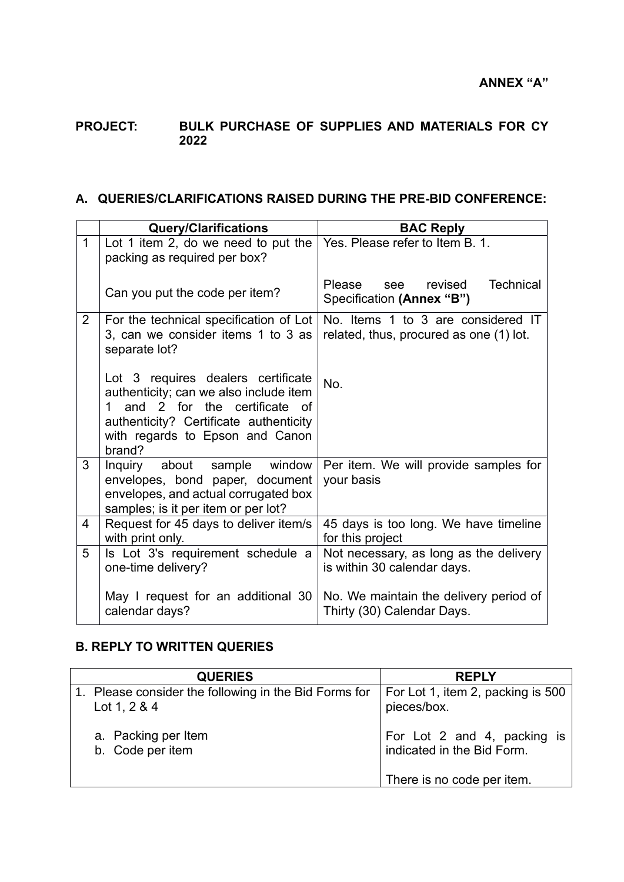## **PROJECT: BULK PURCHASE OF SUPPLIES AND MATERIALS FOR CY 2022**

## **A. QUERIES/CLARIFICATIONS RAISED DURING THE PRE-BID CONFERENCE:**

|                | <b>Query/Clarifications</b>                                                                                                                                                                                      | <b>BAC Reply</b>                                                              |  |
|----------------|------------------------------------------------------------------------------------------------------------------------------------------------------------------------------------------------------------------|-------------------------------------------------------------------------------|--|
| $\mathbf{1}$   | Lot 1 item 2, do we need to put the<br>packing as required per box?                                                                                                                                              | Yes. Please refer to Item B. 1.                                               |  |
|                | Can you put the code per item?                                                                                                                                                                                   | <b>Technical</b><br>Please<br>see revised<br>Specification (Annex "B")        |  |
| $\overline{2}$ | For the technical specification of Lot<br>3, can we consider items 1 to 3 as<br>separate lot?                                                                                                                    | No. Items 1 to 3 are considered IT<br>related, thus, procured as one (1) lot. |  |
|                | Lot 3 requires dealers certificate<br>authenticity; can we also include item<br>and 2 for the certificate of<br>$1 \quad$<br>authenticity? Certificate authenticity<br>with regards to Epson and Canon<br>brand? | No.                                                                           |  |
| 3              | Inquiry about sample window<br>envelopes, bond paper, document<br>envelopes, and actual corrugated box<br>samples; is it per item or per lot?                                                                    | Per item. We will provide samples for<br>your basis                           |  |
| 4              | Request for 45 days to deliver item/s<br>with print only.                                                                                                                                                        | 45 days is too long. We have timeline<br>for this project                     |  |
| 5              | Is Lot 3's requirement schedule a<br>one-time delivery?                                                                                                                                                          | Not necessary, as long as the delivery<br>is within 30 calendar days.         |  |
|                | May I request for an additional 30<br>calendar days?                                                                                                                                                             | No. We maintain the delivery period of<br>Thirty (30) Calendar Days.          |  |

## **B. REPLY TO WRITTEN QUERIES**

| <b>QUERIES</b>                                        | <b>REPLY</b>                      |
|-------------------------------------------------------|-----------------------------------|
| 1. Please consider the following in the Bid Forms for | For Lot 1, item 2, packing is 500 |
| Lot 1, $2 & 4$                                        | pieces/box.                       |
| a. Packing per Item                                   | For Lot 2 and 4, packing is       |
| b. Code per item                                      | indicated in the Bid Form.        |
|                                                       | There is no code per item.        |